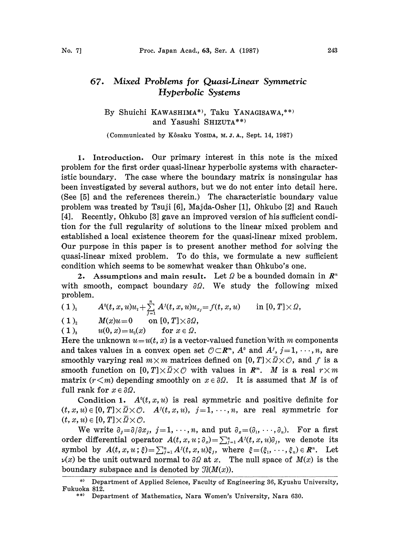## 67. Mixed Problems for Quasi.Linear Symmetric Hyperbolic Systems

By Shuichi KAWASHIMA\*), Taku YANAGISAWA,\*\*) and Yasushi SHIZUTA\*\*)

(Communicated by Kôsaku YosiDA, M.J.A., Sept. 14, 1987)

1. Introduction. Our primary interest in this note is the mixed problem for the first order quasi-linear hyperbolic systems with characteristic boundary. The case where the boundary matrix is nonsingular has been investigated by several authors, but we do not enter into detail here. .(See [5] and the references therein.) The characteristic boundary value problem was treated by Tsuji [6], Majda-Osher [1], Ohkubo [2] and Rauch [4]. Recently, Ohkubo [3] gave an improved version of his sufficient condition for the full regularity of solutions to the linear mixed problem and established a local existence theorem for the quasi-linear mixed problem. Our purpose in this paper is to present another method for solving the quasi-linear mixed problem. To do this, we formulate a new sufficient condition which seems to be somewhat weaker than Ohkubo's one.

2. Assumptions and main result. Let  $\Omega$  be a bounded domain in  $\mathbb{R}^n$ with smooth, compact boundary  $\partial \Omega$ . We study the following mixed problem.

(1)<sub>1</sub> 
$$
A^{0}(t, x, u)u_{t} + \sum_{j=1}^{n} A^{j}(t, x, u)u_{x_{j}} = f(t, x, u)
$$
 in [0, T]×2,

 $(1)_2$   $M(x)u=0$  on  $[0, T] \times \partial \Omega$ ,

(1), 
$$
u(0, x) = u_0(x)
$$
 for  $x \in \Omega$ .

Here the unknown  $u=u(t, x)$  is a vector-valued function with m components and takes values in a convex open set  $\mathcal{O} \subset \mathbb{R}^m$ ,  $A^{\circ}$  and  $A^{\circ}$ ,  $j=1,\dots, n$ , are smoothly varying real  $m \times m$  matrices defined on [0, T] $\times \overline{Q} \times \overline{Q}$ , and f is a smooth function on  $[0, T] \times \overline{\Omega} \times \mathcal{O}$  with values in  $\mathbb{R}^m$ . M is a real  $r \times m$ matrix  $(r \leq m)$  depending smoothly on  $x \in \partial \Omega$ . It is assumed that M is of full rank for  $x \in \partial \Omega$ .

Condition 1.  $A^{0}(t, x, u)$  is real symmetric and positive definite for  $(t, x, u) \in [0, T] \times \overline{\Omega} \times \mathcal{O}.$   $A^{j}(t, x, u), j=1, \dots, n$ , are real symmetric for  $(t, x, u) \in [0, T] \times \overline{\Omega} \times \mathcal{O}.$ 

We write  $\partial_j = \partial/\partial x_j$ ,  $j = 1, \dots, n$ , and put  $\partial_x = (\partial_1, \dots, \partial_n)$ . For a first order differential operator  $A(t, x, u; \partial_x) = \sum_{j=1}^n A^{j}(t, x, u)\partial_j$ , we denote its symbol by  $A(t, x, u; \xi) = \sum_{j=1}^n A^j(t, x, u) \xi_j$ , where  $\xi = (\xi_1, \dots, \xi_n) \in \mathbb{R}^n$ . Let  $\nu(x)$  be the unit outward normal to  $\partial\Omega$  at x. The null space of  $M(x)$  is the boundary subspace and is denoted by  $\mathfrak{N}(M(x))$ .

<sup>\*)</sup> Department of Applied Science, Faculty of Engineering 36, Kyushu University, Fukuoka 812.

<sup>\*\*)</sup> Department of Mathematics, Nara Women's University, Nara 630.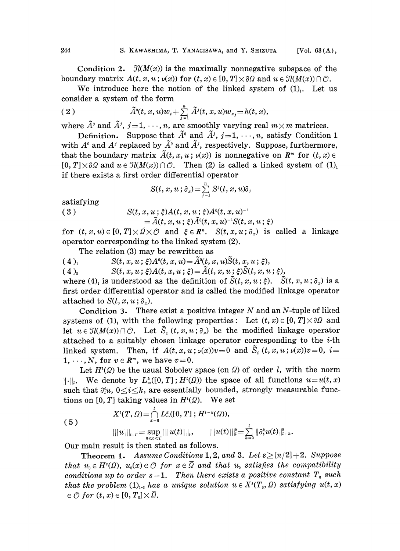Condition 2.  $\mathcal{I}(M(x))$  is the maximally nonnegative subspace of the boundary matrix  $A(t, x, u; \nu(x))$  for  $(t, x) \in [0, T] \times \partial \Omega$  and  $u \in \mathcal{H}(M(x)) \cap \mathcal{O}$ .

We introduce here the notion of the linked system of  $(1)$ . Let us consider a system of the form

(2) 
$$
\tilde{A}^{0}(t, x, u)w_{t} + \sum_{j=1}^{n} \tilde{A}^{j}(t, x, u)w_{x_{j}} = h(t, x),
$$

where  $\tilde{A}^{\rho}$  and  $\tilde{A}^{j}$ ,  $j = 1, \dots, n$ , are smoothly varying real  $m \times m$  matrices.

Definition. Suppose that  $\tilde{A}^0$  and  $\tilde{A}^j$ ,  $j=1, \dots, n$ , satisfy Condition 1 with  $A^{\circ}$  and  $A^{\prime}$  replaced by  $\tilde{A}^{\circ}$  and  $\tilde{A}^{\prime}$ , respectively. Suppose, furthermore, that the boundary matrix  $\tilde{A}(t, x, u; \nu(x))$  is nonnegative on  $\mathbb{R}^m$  for  $(t, x) \in$  $[0, T] \times \partial \Omega$  and  $u \in \mathcal{H}(M(x)) \cap \mathcal{O}$ . Then (2) is called a linked system of (1), if there exists a first order differential operator

$$
S(t, x, u; \partial_x) = \sum_{j=1}^n S^j(t, x, u)\partial_y
$$

satisfying

(3)  $S(t, x, u; \xi)A(t, x, u; \xi)A^{\circ}(t, x, u)$ 

$$
=\!\widetilde{A}(t,x,u\,;\,\xi)\widetilde{A}^{\scriptscriptstyle 0}(t,x,u)^{\scriptscriptstyle -1}S(t,x,u\,;\,\xi)
$$

for  $(t, x, u) \in [0, T] \times \overline{\Omega} \times \mathcal{O}$  and  $\xi \in \mathbb{R}^n$ .  $S(t, x, u; \partial_x)$  is called a linkage operator corresponding to the linked system (2).

The relation (3) may be rewritten as

( 4 ),  $S(t, x, u; \xi)A^0(t, x, u) = \tilde{A}^0(t, x, u)\tilde{S}(t, x, u; \xi),$ 

 $(S(t, x, u; \xi)A(t, x, u; \xi)) = \tilde{A}(t, x, u; \xi) \tilde{S}(t, x, u; \xi),$ 

where (4)<sub>1</sub> is understood as the definition of  $\tilde{S}(t, x, u; \xi)$ .  $\tilde{S}(t, x, u; \partial_x)$  is a first order differential operator and is called the modified linkage operator attached to  $S(t, x, u; \partial<sub>x</sub>)$ .

Condition 3. There exist a positive integer  $N$  and an  $N$ -tuple of liked systems of (1), with the following properties: Let  $(t, x) \in [0, T] \times \partial \Omega$  and let  $u \in \mathcal{J}(M(x)) \cap \mathcal{O}$ . Let  $\tilde{S}_i(t, x, u; \partial_x)$  be the modified linkage operator attached to a suitably chosen linkage operator corresponding to the i-th linked system. Then, if  $A(t, x, u; \nu(x))v=0$  and  $\tilde{S}_i(t, x, u; \nu(x))v=0$ ,  $i=$ 1,  $\cdots$ , N, for  $v \in \mathbb{R}^m$ , we have  $v=0$ .

Let  $H^{(q)}(Q)$  be the usual Sobolev space (on  $Q$ ) of order l, with the norm  $\|\cdot\|$ . We denote by  $L_{\infty}^{k}([0, T]; H^{l}(\Omega))$  the space of all functions  $u=u(t, x)$ such that  $\partial_i^i u$ ,  $0 \le i \le k$ , are essentially bounded, strongly measurable functions on [0, T] taking values in  $H^l(\Omega)$ . We set

(5)  

$$
X^{i}(T, \Omega) = \bigcap_{k=0}^{l} L_{\infty}^{k}([0, T]; H^{l-k}(\Omega)),
$$

$$
|||u|||_{l,T} = \sup_{0 \leq t \leq T} |||u(t)|||_{l}, \qquad |||u(t)|||_{l}^{2} = \sum_{k=0}^{l} ||\partial_{t}^{k}u(t)||_{l-k}^{2},
$$

Our main result is then stated as follows.

**Theorem 1.** Assume Conditions 1, 2, and 3. Let  $s \geq [n/2]+2$ . Suppose that  $u_0 \in H^s(\Omega)$ ,  $u_0(x) \in \mathcal{O}$  for  $x \in \overline{\Omega}$  and that  $u_0$  satisfies the compatibility conditions up to order  $s-1$ . Then there exists a positive constant  $T_0$  such that the problem  $(1)_{1,3}$  has a unique solution  $u \in X<sup>s</sup>(T_0, \Omega)$  satisfying  $u(t, x)$  $\in \mathcal{O}$  for  $(t, x) \in [0, T_0] \times \overline{\Omega}$ .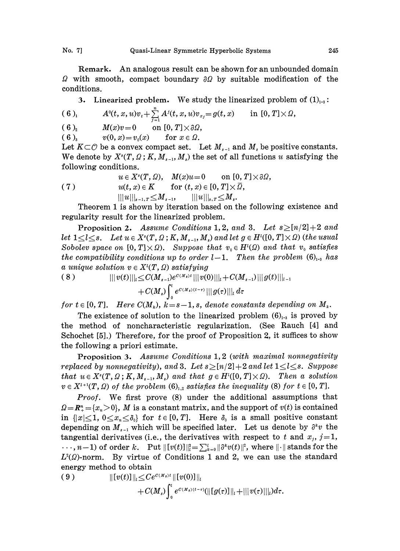No. 7] Quasi-Linear Symmetric Hyperbolic Systems

Remark. An analogous result can be shown for an unbounded domain  $\Omega$  with smooth, compact boundary  $\partial\Omega$  by suitable modification of the conditions.

3. Linearized problem. We study the linearized problem of  $(1)_{1-3}$ :

$$
(6)_{1} \qquad A^{0}(t, x, u)v_{t}+\sum_{j=1}^{n} A^{j}(t, x, u)v_{x_{j}}=g(t, x) \qquad \text{in } [0, T]\times\Omega,
$$

$$
(6)_{2} \qquad M(x)v=0 \qquad \text{on } [0, T]\times \partial \Omega,
$$

( 6 ),  $v(0, x) = v_0(x)$  for  $x \in \Omega$ .

Let  $K\subset\mathcal{O}$  be a convex compact set. Let  $M_{s-1}$  and  $M_s$  be positive constants. We denote by  $X^s(T, Q; K, M_{s-1}, M_s)$  the set of all functions u satisfying the following conditions.

(7) 
$$
u \in X^s(T, \Omega)
$$
,  $M(x)u = 0$  on  $[0, T] \times \partial\Omega$ ,  
\n $u(t, x) \in K$  for  $(t, x) \in [0, T] \times \overline{\Omega}$ ,  
\n $|||u|||_{s-1, T} \leq M_{s-1}$ ,  $|||u|||_{s, T} \leq M_s$ .

Theorem 1 is shown by iteration based on the following existence and regularity result for the linearized problem.

**Proposition 2.** Assume Conditions 1, 2, and 3. Let  $s \geq [n/2]+2$  and let  $1 \leq l \leq s$ . Let  $u \in X^s(T, \Omega; K, M_{s-1}, M_s)$  and let  $g \in H^l([0, T] \times \Omega)$  (the usual Sobolev space on  $[0, T] \times \Omega$ . Suppose that  $v_0 \in H^1(\Omega)$  and that  $v_0$  satisfies the compatibility conditions up to order  $l-1$ . Then the problem  $(6)_{1-3}$  has

a unique solution 
$$
v \in X^{i}(T, Q)
$$
 satisfying  
\n(8) 
$$
|||v(t)|||_{i} \leq C(M_{s-1})e^{C(M_{s})t}|||v(0)|||_{i} + C(M_{s-1})|||g(t)|||_{i-1} + C(M_{s})\int_{0}^{t} e^{C(M_{s})(t-\tau)}|||g(\tau)|||_{i} d\tau
$$

for  $t \in [0, T]$ . Here  $C(M_k)$ ,  $k = s - 1$ , s, denote constants depending on  $M_k$ .

The existence of solution to the linearized problem  $(6)_{13}$  is proved by the method of noncharacteristic regularization. (See Rauch [4] and Schochet  $[5]$ .) Therefore, for the proof of Proposition 2, it suffices to show the following a priori estimate.

Proposition 3. Assume Conditions 1,2 (with maximal nonnegativity replaced by nonnegativity), and 3. Let  $s\geq [n/2]+2$  and let  $1\leq l\leq s$ . Suppose that  $u \in X^s(T, \Omega; K, M_{s-1}, M_s)$  and that  $g \in H^1([0, T] \times \Omega)$ . Then a solution  $v \in X^{l+1}(T, \Omega)$  of the problem  $(6)_{l+2}$  satisfies the inequality (8) for  $t \in [0, T]$ .

Proof. We first prove (8) under the additional assumptions that  $Q=R_{\perp}^{n}=\{x_{n}>0\}$ , M is a constant matrix, and the support of  $v(t)$  is contained in  $\{|x|\leq 1, 0\leq x_n\leq \delta_0\}$  for  $t\in [0, T]$ . Here  $\delta_0$  is a small positive constant depending on  $M_{s-1}$  which will be specified later. Let us denote by  $\partial^k v$  the tangential derivatives (i.e., the derivatives with respect to t and  $x_j$ ,  $j=1$ ,  $\cdots$ ,  $n-1$ ) of order k. Put  $\| [v(t)] \|_{t}^{2} = \sum_{k=0}^{l} ||\partial^{k}v(t)||^{2}$ , where  $\| \cdot \|$  stands for the  $L^{2}(Q)$ -norm. By virtue of Conditions 1 and 2, we can use the standard energy method to obtain

(9) 
$$
\| [v(t)] \|_{l} \leq Ce^{c(M_s)t} \| [v(0)] \|_{l} + C(M_s) \int_0^t e^{c(M_s)(t-\tau)} (|| [g(\tau)] ||_l + || |v(\tau)|||_l) d\tau.
$$